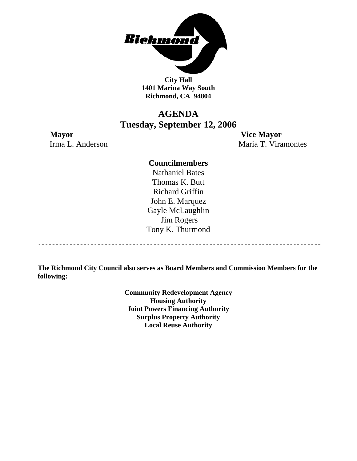

**City Hall 1401 Marina Way South Richmond, CA 94804** 

### **AGENDA Tuesday, September 12, 2006**

**Mayor Vice Mayor** Irma L. Anderson Maria T. Viramontes

-----------------------------------

#### **Councilmembers**

Nathaniel Bates Thomas K. Butt Richard Griffin John E. Marquez Gayle McLaughlin Jim Rogers Tony K. Thurmond

**The Richmond City Council also serves as Board Members and Commission Members for the following:** 

> **Community Redevelopment Agency Housing Authority Joint Powers Financing Authority Surplus Property Authority Local Reuse Authority**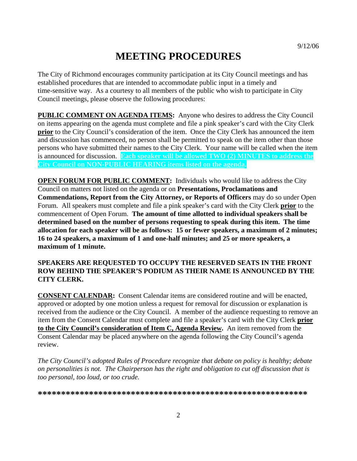# **MEETING PROCEDURES**

The City of Richmond encourages community participation at its City Council meetings and has established procedures that are intended to accommodate public input in a timely and time-sensitive way. As a courtesy to all members of the public who wish to participate in City Council meetings, please observe the following procedures:

**PUBLIC COMMENT ON AGENDA ITEMS:** Anyone who desires to address the City Council on items appearing on the agenda must complete and file a pink speaker's card with the City Clerk **prior** to the City Council's consideration of the item. Once the City Clerk has announced the item and discussion has commenced, no person shall be permitted to speak on the item other than those persons who have submitted their names to the City Clerk. Your name will be called when the item is announced for discussion. **Each speaker will be allowed TWO (2) MINUTES to address the City Council on NON-PUBLIC HEARING items listed on the agenda.** 

**OPEN FORUM FOR PUBLIC COMMENT:** Individuals who would like to address the City Council on matters not listed on the agenda or on **Presentations, Proclamations and Commendations, Report from the City Attorney, or Reports of Officers** may do so under Open Forum. All speakers must complete and file a pink speaker's card with the City Clerk **prior** to the commencement of Open Forum. **The amount of time allotted to individual speakers shall be determined based on the number of persons requesting to speak during this item. The time allocation for each speaker will be as follows: 15 or fewer speakers, a maximum of 2 minutes; 16 to 24 speakers, a maximum of 1 and one-half minutes; and 25 or more speakers, a maximum of 1 minute.** 

#### **SPEAKERS ARE REQUESTED TO OCCUPY THE RESERVED SEATS IN THE FRONT ROW BEHIND THE SPEAKER'S PODIUM AS THEIR NAME IS ANNOUNCED BY THE CITY CLERK.**

**CONSENT CALENDAR:** Consent Calendar items are considered routine and will be enacted, approved or adopted by one motion unless a request for removal for discussion or explanation is received from the audience or the City Council. A member of the audience requesting to remove an item from the Consent Calendar must complete and file a speaker's card with the City Clerk **prior to the City Council's consideration of Item C, Agenda Review.** An item removed from the Consent Calendar may be placed anywhere on the agenda following the City Council's agenda review.

*The City Council's adopted Rules of Procedure recognize that debate on policy is healthy; debate on personalities is not. The Chairperson has the right and obligation to cut off discussion that is too personal, too loud, or too crude.* 

**\*\*\*\*\*\*\*\*\*\*\*\*\*\*\*\*\*\*\*\*\*\*\*\*\*\*\*\*\*\*\*\*\*\*\*\*\*\*\*\*\*\*\*\*\*\*\*\*\*\*\*\*\*\*\*\*\*\***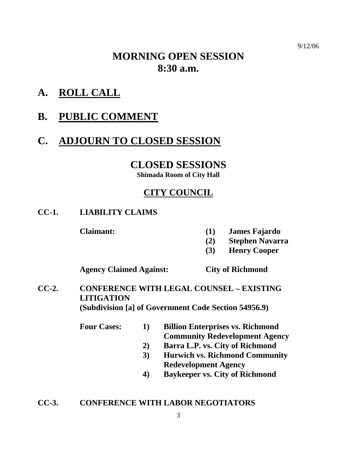# **MORNING OPEN SESSION 8:30 a.m.**

**A. ROLL CALL**

# **B. PUBLIC COMMENT**

# **C. ADJOURN TO CLOSED SESSION**

### **CLOSED SESSIONS**

**Shimada Room of City Hall** 

## **CITY COUNCIL**

### **CC-1. LIABILITY CLAIMS**

- **Claimant: (1) James Fajardo** 
	- **(2) Stephen Navarra**
	- **(3) Henry Cooper**

 **Agency Claimed Against: City of Richmond** 

- **CC-2. CONFERENCE WITH LEGAL COUNSEL EXISTING LITIGATION (Subdivision [a] of Government Code Section 54956.9)** 
	- **Four Cases: 1) Billion Enterprises vs. Richmond Community Redevelopment Agency** 
		- **2) Barra L.P. vs. City of Richmond**
		- **3) Hurwich vs. Richmond Community Redevelopment Agency**
		- **4) Baykeeper vs. City of Richmond**

### **CC-3. CONFERENCE WITH LABOR NEGOTIATORS**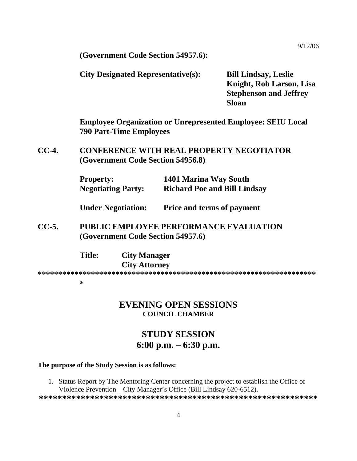9/12/06

 **(Government Code Section 54957.6):** 

| <b>City Designated Representative(s):</b> | <b>Bill Lindsay, Leslie</b>   |
|-------------------------------------------|-------------------------------|
|                                           | Knight, Rob Larson, Lisa      |
|                                           | <b>Stephenson and Jeffrey</b> |
|                                           | <b>Sloan</b>                  |

 **Employee Organization or Unrepresented Employee: SEIU Local 790 Part-Time Employees** 

**CC-4. CONFERENCE WITH REAL PROPERTY NEGOTIATOR (Government Code Section 54956.8)** 

| <b>Property:</b>          | 1401 Marina Way South               |
|---------------------------|-------------------------------------|
| <b>Negotiating Party:</b> | <b>Richard Poe and Bill Lindsay</b> |

 **Under Negotiation: Price and terms of payment** 

**CC-5. PUBLIC EMPLOYEE PERFORMANCE EVALUATION (Government Code Section 54957.6)** 

| <b>Title:</b> | <b>City Manager</b>  |
|---------------|----------------------|
|               | <b>City Attorney</b> |
|               |                      |

#### **\***

### **EVENING OPEN SESSIONS COUNCIL CHAMBER**

### **STUDY SESSION 6:00 p.m. – 6:30 p.m.**

#### **The purpose of the Study Session is as follows:**

1. Status Report by The Mentoring Center concerning the project to establish the Office of Violence Prevention – City Manager's Office (Bill Lindsay 620-6512).

**\*\*\*\*\*\*\*\*\*\*\*\*\*\*\*\*\*\*\*\*\*\*\*\*\*\*\*\*\*\*\*\*\*\*\*\*\*\*\*\*\*\*\*\*\*\*\*\*\*\*\*\*\*\*\*\*\*\*\*\***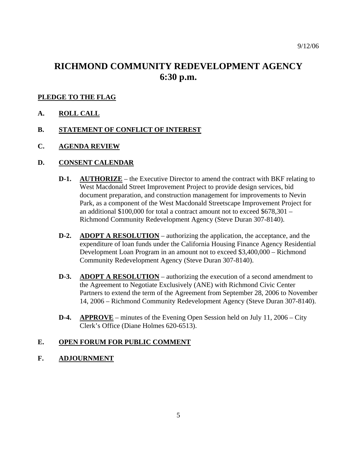### **RICHMOND COMMUNITY REDEVELOPMENT AGENCY 6:30 p.m.**

#### **PLEDGE TO THE FLAG**

- **A. ROLL CALL**
- **B. STATEMENT OF CONFLICT OF INTEREST**
- **C. AGENDA REVIEW**

#### **D. CONSENT CALENDAR**

- **D-1. AUTHORIZE** the Executive Director to amend the contract with BKF relating to West Macdonald Street Improvement Project to provide design services, bid document preparation, and construction management for improvements to Nevin Park, as a component of the West Macdonald Streetscape Improvement Project for an additional \$100,000 for total a contract amount not to exceed \$678,301 – Richmond Community Redevelopment Agency (Steve Duran 307-8140).
- **D-2.** ADOPT A RESOLUTION authorizing the application, the acceptance, and the expenditure of loan funds under the California Housing Finance Agency Residential Development Loan Program in an amount not to exceed \$3,400,000 – Richmond Community Redevelopment Agency (Steve Duran 307-8140).
- **D-3.** ADOPT A RESOLUTION authorizing the execution of a second amendment to the Agreement to Negotiate Exclusively (ANE) with Richmond Civic Center Partners to extend the term of the Agreement from September 28, 2006 to November 14, 2006 – Richmond Community Redevelopment Agency (Steve Duran 307-8140).
- **D-4. APPROVE** minutes of the Evening Open Session held on July 11, 2006 City Clerk's Office (Diane Holmes 620-6513).

#### **E. OPEN FORUM FOR PUBLIC COMMENT**

#### **F. ADJOURNMENT**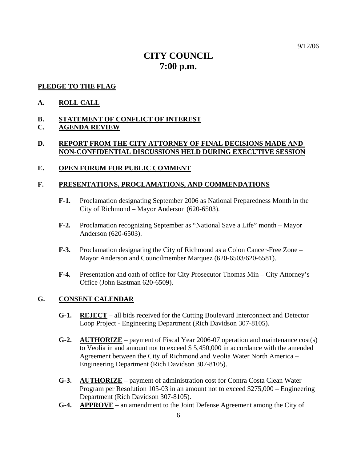## **CITY COUNCIL 7:00 p.m.**

#### **PLEDGE TO THE FLAG**

#### **A. ROLL CALL**

#### **B. STATEMENT OF CONFLICT OF INTEREST**

#### **C. AGENDA REVIEW**

#### **D. REPORT FROM THE CITY ATTORNEY OF FINAL DECISIONS MADE AND NON-CONFIDENTIAL DISCUSSIONS HELD DURING EXECUTIVE SESSION**

#### **E. OPEN FORUM FOR PUBLIC COMMENT**

#### **F. PRESENTATIONS, PROCLAMATIONS, AND COMMENDATIONS**

- **F-1.** Proclamation designating September 2006 as National Preparedness Month in the City of Richmond – Mayor Anderson (620-6503).
- **F-2.** Proclamation recognizing September as "National Save a Life" month Mayor Anderson (620-6503).
- **F-3.** Proclamation designating the City of Richmond as a Colon Cancer-Free Zone Mayor Anderson and Councilmember Marquez (620-6503/620-6581).
- **F-4.** Presentation and oath of office for City Prosecutor Thomas Min City Attorney's Office (John Eastman 620-6509).

#### **G. CONSENT CALENDAR**

- **G-1. REJECT** all bids received for the Cutting Boulevard Interconnect and Detector Loop Project - Engineering Department (Rich Davidson 307-8105).
- **G-2. AUTHORIZE** payment of Fiscal Year 2006-07 operation and maintenance cost(s) to Veolia in and amount not to exceed \$ 5,450,000 in accordance with the amended Agreement between the City of Richmond and Veolia Water North America – Engineering Department (Rich Davidson 307-8105).
- **G-3. AUTHORIZE** payment of administration cost for Contra Costa Clean Water Program per Resolution 105-03 in an amount not to exceed \$275,000 – Engineering Department (Rich Davidson 307-8105).
- **G-4. APPROVE** an amendment to the Joint Defense Agreement among the City of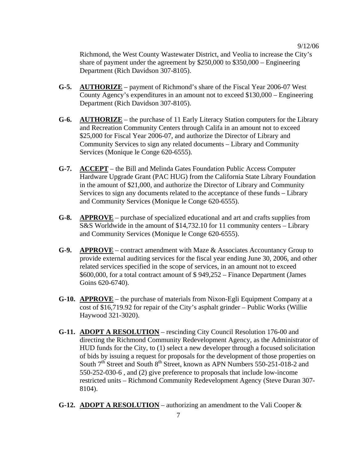Richmond, the West County Wastewater District, and Veolia to increase the City's share of payment under the agreement by  $$250,000$  to  $$350,000$  – Engineering Department (Rich Davidson 307-8105).

- **G-5. AUTHORIZE** payment of Richmond's share of the Fiscal Year 2006-07 West County Agency's expenditures in an amount not to exceed \$130,000 – Engineering Department (Rich Davidson 307-8105).
- **G-6. AUTHORIZE** the purchase of 11 Early Literacy Station computers for the Library and Recreation Community Centers through Califa in an amount not to exceed \$25,000 for Fiscal Year 2006-07, and authorize the Director of Library and Community Services to sign any related documents – Library and Community Services (Monique le Conge 620-6555).
- **G-7. ACCEPT** the Bill and Melinda Gates Foundation Public Access Computer Hardware Upgrade Grant (PAC HUG) from the California State Library Foundation in the amount of \$21,000, and authorize the Director of Library and Community Services to sign any documents related to the acceptance of these funds – Library and Community Services (Monique le Conge 620-6555).
- **G-8. APPROVE** purchase of specialized educational and art and crafts supplies from S&S Worldwide in the amount of \$14,732.10 for 11 community centers – Library and Community Services (Monique le Conge 620-6555).
- **G-9. APPROVE** contract amendment with Maze & Associates Accountancy Group to provide external auditing services for the fiscal year ending June 30, 2006, and other related services specified in the scope of services, in an amount not to exceed \$600,000, for a total contract amount of \$ 949,252 – Finance Department (James Goins 620-6740).
- **G-10. APPROVE** the purchase of materials from Nixon-Egli Equipment Company at a cost of \$16,719.92 for repair of the City's asphalt grinder – Public Works (Willie Haywood 321-3020).
- **G-11. ADOPT A RESOLUTION** rescinding City Council Resolution 176-00 and directing the Richmond Community Redevelopment Agency, as the Administrator of HUD funds for the City, to (1) select a new developer through a focused solicitation of bids by issuing a request for proposals for the development of those properties on South  $7<sup>th</sup>$  Street and South  $8<sup>th</sup>$  Street, known as APN Numbers 550-251-018-2 and 550-252-030-6 , and (2) give preference to proposals that include low-income restricted units – Richmond Community Redevelopment Agency (Steve Duran 307- 8104).
- **G-12. ADOPT A RESOLUTION** authorizing an amendment to the Vali Cooper &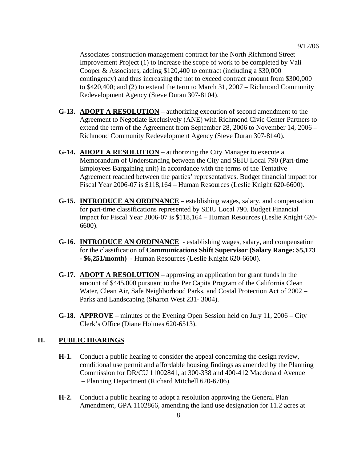Associates construction management contract for the North Richmond Street Improvement Project (1) to increase the scope of work to be completed by Vali Cooper & Associates, adding \$120,400 to contract (including a \$30,000 contingency) and thus increasing the not to exceed contract amount from \$300,000 to \$420,400; and (2) to extend the term to March 31, 2007 – Richmond Community Redevelopment Agency (Steve Duran 307-8104).

- **G-13. ADOPT A RESOLUTION** authorizing execution of second amendment to the Agreement to Negotiate Exclusively (ANE) with Richmond Civic Center Partners to extend the term of the Agreement from September 28, 2006 to November 14, 2006 – Richmond Community Redevelopment Agency (Steve Duran 307-8140).
- **G-14. ADOPT A RESOLUTION** authorizing the City Manager to execute a Memorandum of Understanding between the City and SEIU Local 790 (Part-time Employees Bargaining unit) in accordance with the terms of the Tentative Agreement reached between the parties' representatives. Budget financial impact for Fiscal Year 2006-07 is \$118,164 – Human Resources (Leslie Knight 620-6600).
- **G-15. INTRODUCE AN ORDINANCE** establishing wages, salary, and compensation for part-time classifications represented by SEIU Local 790. Budget Financial impact for Fiscal Year 2006-07 is \$118,164 – Human Resources (Leslie Knight 620- 6600).
- **G-16. INTRODUCE AN ORDINANCE** establishing wages, salary, and compensation for the classification of **Communications Shift Supervisor (Salary Range: \$5,173 - \$6,251/month)** - Human Resources (Leslie Knight 620-6600).
- **G-17. ADOPT A RESOLUTION** approving an application for grant funds in the amount of \$445,000 pursuant to the Per Capita Program of the California Clean Water, Clean Air, Safe Neighborhood Parks, and Costal Protection Act of 2002 – Parks and Landscaping (Sharon West 231- 3004).
- **G-18. APPROVE** minutes of the Evening Open Session held on July 11, 2006 City Clerk's Office (Diane Holmes 620-6513).

### **H. PUBLIC HEARINGS**

- **H-1.** Conduct a public hearing to consider the appeal concerning the design review, conditional use permit and affordable housing findings as amended by the Planning Commission for DR/CU 11002841, at 300-338 and 400-412 Macdonald Avenue – Planning Department (Richard Mitchell 620-6706).
- **H-2.** Conduct a public hearing to adopt a resolution approving the General Plan Amendment, GPA 1102866, amending the land use designation for 11.2 acres at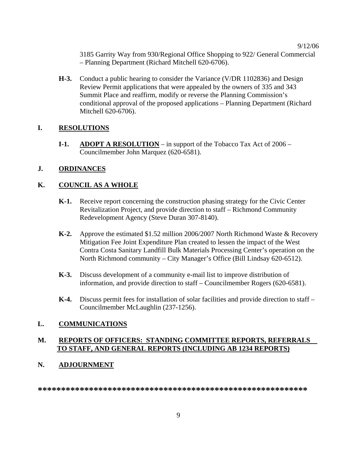3185 Garrity Way from 930/Regional Office Shopping to 922/ General Commercial – Planning Department (Richard Mitchell 620-6706).

**H-3.** Conduct a public hearing to consider the Variance (V/DR 1102836) and Design Review Permit applications that were appealed by the owners of 335 and 343 Summit Place and reaffirm, modify or reverse the Planning Commission's conditional approval of the proposed applications – Planning Department (Richard Mitchell 620-6706).

#### **I. RESOLUTIONS**

**I-1.** ADOPT A RESOLUTION – in support of the Tobacco Tax Act of 2006 – Councilmember John Marquez (620-6581).

#### **J. ORDINANCES**

#### **K. COUNCIL AS A WHOLE**

- **K-1.** Receive report concerning the construction phasing strategy for the Civic Center Revitalization Project, and provide direction to staff – Richmond Community Redevelopment Agency (Steve Duran 307-8140).
- **K-2.** Approve the estimated \$1.52 million 2006/2007 North Richmond Waste & Recovery Mitigation Fee Joint Expenditure Plan created to lessen the impact of the West Contra Costa Sanitary Landfill Bulk Materials Processing Center's operation on the North Richmond community – City Manager's Office (Bill Lindsay 620-6512).
- **K-3.** Discuss development of a community e-mail list to improve distribution of information, and provide direction to staff – Councilmember Rogers (620-6581).
- **K-4.** Discuss permit fees for installation of solar facilities and provide direction to staff Councilmember McLaughlin (237-1256).

#### **L. COMMUNICATIONS**

#### **M. REPORTS OF OFFICERS: STANDING COMMITTEE REPORTS, REFERRALS TO STAFF, AND GENERAL REPORTS (INCLUDING AB 1234 REPORTS)**

#### **N. ADJOURNMENT**

**\*\*\*\*\*\*\*\*\*\*\*\*\*\*\*\*\*\*\*\*\*\*\*\*\*\*\*\*\*\*\*\*\*\*\*\*\*\*\*\*\*\*\*\*\*\*\*\*\*\*\*\*\*\*\*\*\*\***